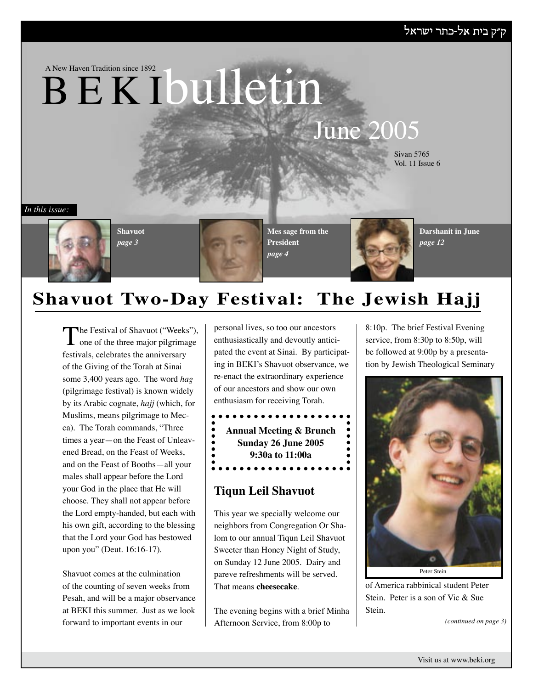A New Haven Tradition since 1892

# B E K Ibulletin

## June 2005

Sivan 5765 Vol. 11 Issue 6

*In this issue:*



**Shavuot** *page 3*

**Mes sage from the President** *page 4*



**Darshanit in June** *page 12*

## **Shavuot Two-Day Festival: The Jewish Hajj**

The Festival of Shavuot ("Weeks"),<br>
one of the three major pilgrimage festivals, celebrates the anniversary of the Giving of the Torah at Sinai some 3,400 years ago. The word *hag* (pilgrimage festival) is known widely by its Arabic cognate, *hajj* (which, for Muslims, means pilgrimage to Mecca). The Torah commands, "Three times a year—on the Feast of Unleavened Bread, on the Feast of Weeks, and on the Feast of Booths—all your males shall appear before the Lord your God in the place that He will choose. They shall not appear before the Lord empty-handed, but each with his own gift, according to the blessing that the Lord your God has bestowed upon you" (Deut. 16:16-17).

Shavuot comes at the culmination of the counting of seven weeks from Pesah, and will be a major observance at BEKI this summer. Just as we look forward to important events in our

personal lives, so too our ancestors enthusiastically and devoutly anticipated the event at Sinai. By participating in BEKI's Shavuot observance, we re-enact the extraordinary experience of our ancestors and show our own enthusiasm for receiving Torah.

**Annual Meeting & Brunch Sunday 26 June 2005 9:30a to 11:00a** $\bullet\bullet\bullet\bullet\bullet\bullet\bullet\bullet\bullet$ 

### **Tiqun Leil Shavuot**

This year we specially welcome our neighbors from Congregation Or Shalom to our annual Tiqun Leil Shavuot Sweeter than Honey Night of Study, on Sunday 12 June 2005. Dairy and pareve refreshments will be served. That means **cheesecake**.

The evening begins with a brief Minha Afternoon Service, from 8:00p to

8:10p. The brief Festival Evening service, from 8:30p to 8:50p, will be followed at 9:00p by a presentation by Jewish Theological Seminary



of America rabbinical student Peter Stein. Peter is a son of Vic & Sue Stein.

*(continued on page 3)*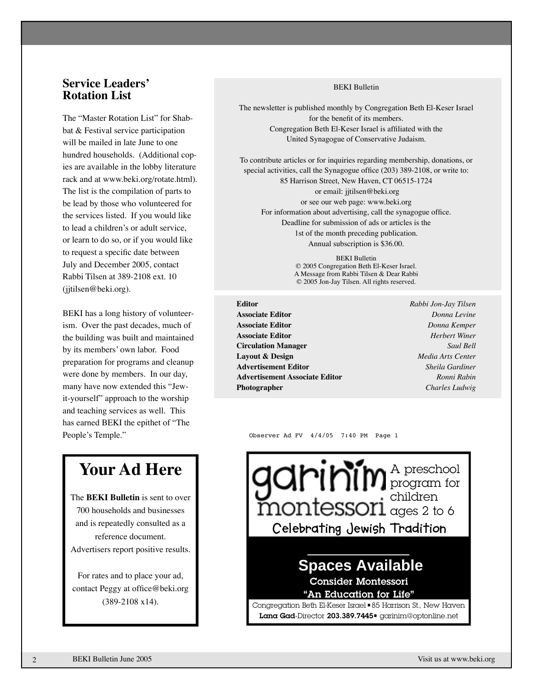#### **Service Leaders' Rotation List**

The "Master Rotation List" for Shabbat & Festival service participation will be mailed in late June to one hundred households. (Additional copies are available in the lobby literature rack and at www.beki.org/rotate.html). The list is the compilation of parts to be lead by those who volunteered for the services listed. If you would like to lead a children's or adult service, or learn to do so, or if you would like to request a specific date between July and December 2005, contact Rabbi Tilsen at 389-2108 ext. 10 (jjtilsen@beki.org).

BEKI has a long history of volunteerism. Over the past decades, much of the building was built and maintained by its members' own labor. Food preparation for programs and cleanup were done by members. In our day, many have now extended this "Jewit-yourself" approach to the worship and teaching services as well. This has earned BEKI the epithet of "The People's Temple."

### **Your Ad Here**

The **BEKI Bulletin** is sent to over 700 households and businesses and is repeatedly consulted as a reference document. Advertisers report positive results.

For rates and to place your ad, contact Peggy at office@beki.org (389-2108 x14).

#### BEKI Bulletin

The newsletter is published monthly by Congregation Beth El-Keser Israel for the benefit of its members. Congregation Beth El-Keser Israel is affiliated with the United Synagogue of Conservative Judaism.

To contribute articles or for inquiries regarding membership, donations, or special activities, call the Synagogue office (203) 389-2108, or write to: 85 Harrison Street, New Haven, CT 06515-1724 or email: jjtilsen@beki.org or see our web page: www.beki.org For information about advertising, call the synagogue office. Deadline for submission of ads or articles is the 1st of the month preceding publication. Annual subscription is \$36.00.

> BEKI Bulletin © 2005 Congregation Beth El-Keser Israel. A Message from Rabbi Tilsen & Dear Rabbi © 2005 Jon-Jay Tilsen. All rights reserved.

**Editor** *Rabbi Jon-Jay Tilsen* **Associate Editor** *Donna Levine* **Associate Editor** *Donna Kemper* **Associate Editor** *Herbert Winer* **Circulation Manager** *Saul Bell* **Layout & Design** *Media Arts Center* **Advertisement Editor** *Sheila Gardiner* **Advertisement Associate Editor** *Ronni Rabin* **Photographer** *Charles Ludwig*

Observer Ad FV 4/4/05 7:40 PM Page 1

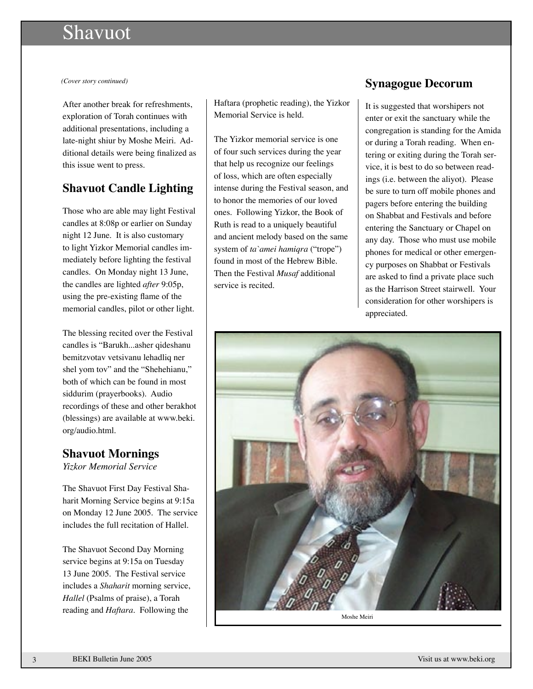### **Shavuot**

After another break for refreshments, exploration of Torah continues with additional presentations, including a late-night shiur by Moshe Meiri. Additional details were being finalized as this issue went to press.

#### **Shavuot Candle Lighting**

Those who are able may light Festival candles at 8:08p or earlier on Sunday night 12 June. It is also customary to light Yizkor Memorial candles immediately before lighting the festival candles. On Monday night 13 June, the candles are lighted *after* 9:05p, using the pre-existing flame of the memorial candles, pilot or other light.

The blessing recited over the Festival candles is "Barukh...asher qideshanu bemitzvotav vetsivanu lehadliq ner shel yom tov" and the "Shehehianu," both of which can be found in most siddurim (prayerbooks). Audio recordings of these and other berakhot (blessings) are available at www.beki. org/audio.html.

### **Shavuot Mornings**

*Yizkor Memorial Service*

The Shavuot First Day Festival Shaharit Morning Service begins at 9:15a on Monday 12 June 2005. The service includes the full recitation of Hallel.

The Shavuot Second Day Morning service begins at 9:15a on Tuesday 13 June 2005. The Festival service includes a *Shaharit* morning service, *Hallel* (Psalms of praise), a Torah reading and *Haftara*. Following the

Haftara (prophetic reading), the Yizkor Memorial Service is held.

The Yizkor memorial service is one of four such services during the year that help us recognize our feelings of loss, which are often especially intense during the Festival season, and to honor the memories of our loved ones. Following Yizkor, the Book of Ruth is read to a uniquely beautiful and ancient melody based on the same system of *ta`amei hamiqra* ("trope") found in most of the Hebrew Bible. Then the Festival *Musaf* additional service is recited.

#### *(Cover story continued)* **Synagogue Decorum**

It is suggested that worshipers not enter or exit the sanctuary while the congregation is standing for the Amida or during a Torah reading. When entering or exiting during the Torah service, it is best to do so between readings (i.e. between the aliyot). Please be sure to turn off mobile phones and pagers before entering the building on Shabbat and Festivals and before entering the Sanctuary or Chapel on any day. Those who must use mobile phones for medical or other emergency purposes on Shabbat or Festivals are asked to find a private place such as the Harrison Street stairwell. Your consideration for other worshipers is appreciated.



Moshe Meiri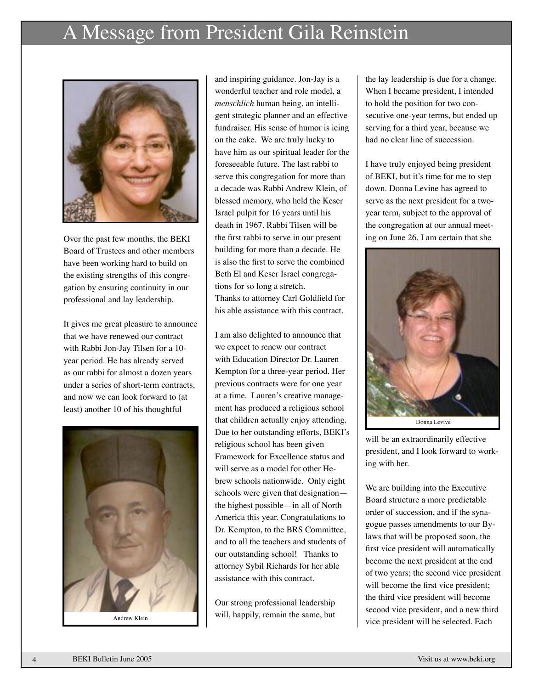## A Message from President Gila Reinstein



Over the past few months, the BEKI Board of Trustees and other members have been working hard to build on the existing strengths of this congregation by ensuring continuity in our professional and lay leadership.

It gives me great pleasure to announce that we have renewed our contract with Rabbi Jon-Jay Tilsen for a 10 year period. He has already served as our rabbi for almost a dozen years under a series of short-term contracts, and now we can look forward to (at least) another 10 of his thoughtful



and inspiring guidance. Jon-Jay is a wonderful teacher and role model, a *menschlich* human being, an intelligent strategic planner and an effective fundraiser. His sense of humor is icing on the cake. We are truly lucky to have him as our spiritual leader for the foreseeable future. The last rabbi to serve this congregation for more than a decade was Rabbi Andrew Klein, of blessed memory, who held the Keser Israel pulpit for 16 years until his death in 1967. Rabbi Tilsen will be the first rabbi to serve in our present building for more than a decade. He is also the first to serve the combined Beth El and Keser Israel congregations for so long a stretch. Thanks to attorney Carl Goldfield for his able assistance with this contract.

I am also delighted to announce that we expect to renew our contract with Education Director Dr. Lauren Kempton for a three-year period. Her previous contracts were for one year at a time. Lauren's creative management has produced a religious school that children actually enjoy attending. Due to her outstanding efforts, BEKI's religious school has been given Framework for Excellence status and will serve as a model for other Hebrew schools nationwide. Only eight schools were given that designation the highest possible—in all of North America this year. Congratulations to Dr. Kempton, to the BRS Committee, and to all the teachers and students of our outstanding school! Thanks to attorney Sybil Richards for her able assistance with this contract.

Our strong professional leadership will, happily, remain the same, but

the lay leadership is due for a change. When I became president, I intended to hold the position for two consecutive one-year terms, but ended up serving for a third year, because we had no clear line of succession.

I have truly enjoyed being president of BEKI, but it's time for me to step down. Donna Levine has agreed to serve as the next president for a twoyear term, subject to the approval of the congregation at our annual meeting on June 26. I am certain that she



will be an extraordinarily effective president, and I look forward to working with her.

We are building into the Executive Board structure a more predictable order of succession, and if the synagogue passes amendments to our Bylaws that will be proposed soon, the first vice president will automatically become the next president at the end of two years; the second vice president will become the first vice president; the third vice president will become second vice president, and a new third Andrew Klein **VIII, Happhy, remain the same**, but vice president will be selected. Each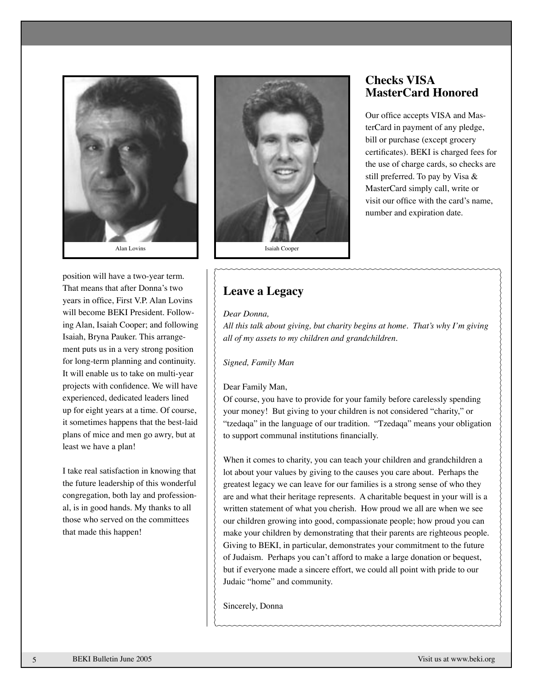

position will have a two-year term. That means that after Donna's two years in office, First V.P. Alan Lovins will become BEKI President. Following Alan, Isaiah Cooper; and following Isaiah, Bryna Pauker. This arrangement puts us in a very strong position for long-term planning and continuity. It will enable us to take on multi-year projects with confidence. We will have experienced, dedicated leaders lined up for eight years at a time. Of course, it sometimes happens that the best-laid plans of mice and men go awry, but at least we have a plan!

I take real satisfaction in knowing that the future leadership of this wonderful congregation, both lay and professional, is in good hands. My thanks to all those who served on the committees that made this happen!



#### **Checks VISA MasterCard Honored**

Our office accepts VISA and MasterCard in payment of any pledge, bill or purchase (except grocery certificates). BEKI is charged fees for the use of charge cards, so checks are still preferred. To pay by Visa & MasterCard simply call, write or visit our office with the card's name, number and expiration date.

### **Leave a Legacy**

#### *Dear Donna,*

*All this talk about giving, but charity begins at home. That's why I'm giving all of my assets to my children and grandchildren.*

*Signed, Family Man*

#### Dear Family Man,

Of course, you have to provide for your family before carelessly spending your money! But giving to your children is not considered "charity," or "tzedaqa" in the language of our tradition. "Tzedaqa" means your obligation to support communal institutions financially.

When it comes to charity, you can teach your children and grandchildren a lot about your values by giving to the causes you care about. Perhaps the greatest legacy we can leave for our families is a strong sense of who they are and what their heritage represents. A charitable bequest in your will is a written statement of what you cherish. How proud we all are when we see our children growing into good, compassionate people; how proud you can make your children by demonstrating that their parents are righteous people. Giving to BEKI, in particular, demonstrates your commitment to the future of Judaism. Perhaps you can't afford to make a large donation or bequest, but if everyone made a sincere effort, we could all point with pride to our Judaic "home" and community.

Sincerely, Donna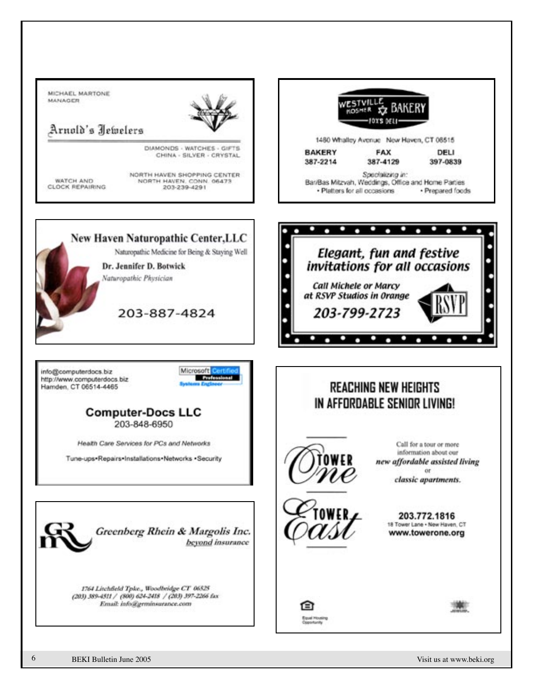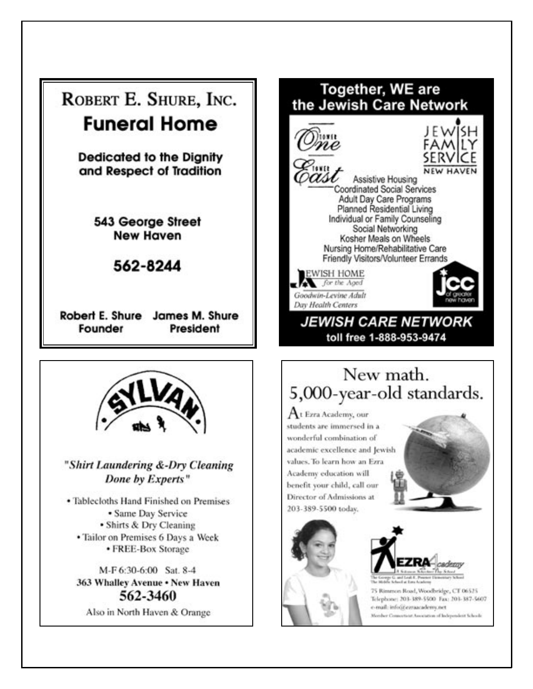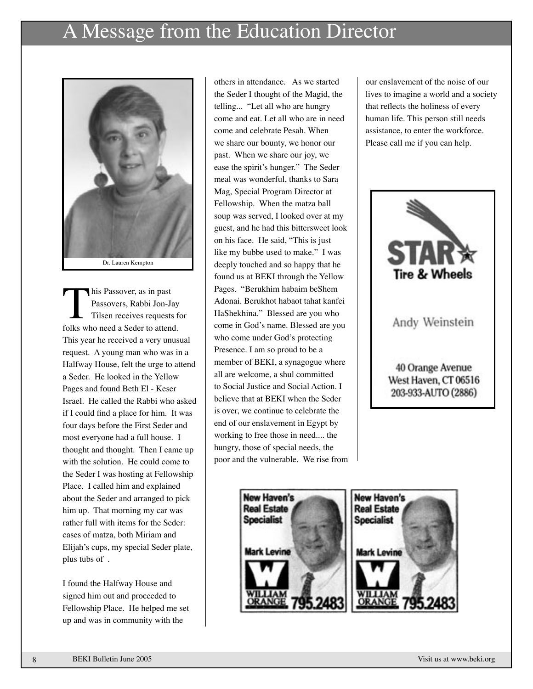## A Message from the Education Director



This Passover, as in past<br>
Passovers, Rabbi Jon-Jay<br>
Tilsen receives requests fo<br>
folks who need a Seder to attend. Passovers, Rabbi Jon-Jay Tilsen receives requests for This year he received a very unusual request. A young man who was in a Halfway House, felt the urge to attend a Seder. He looked in the Yellow Pages and found Beth El - Keser Israel. He called the Rabbi who asked if I could find a place for him. It was four days before the First Seder and most everyone had a full house. I thought and thought. Then I came up with the solution. He could come to the Seder I was hosting at Fellowship Place. I called him and explained about the Seder and arranged to pick him up. That morning my car was rather full with items for the Seder: cases of matza, both Miriam and Elijah's cups, my special Seder plate, plus tubs of .

I found the Halfway House and signed him out and proceeded to Fellowship Place. He helped me set up and was in community with the

others in attendance. As we started the Seder I thought of the Magid, the telling... "Let all who are hungry come and eat. Let all who are in need come and celebrate Pesah. When we share our bounty, we honor our past. When we share our joy, we ease the spirit's hunger." The Seder meal was wonderful, thanks to Sara Mag, Special Program Director at Fellowship. When the matza ball soup was served, I looked over at my guest, and he had this bittersweet look on his face. He said, "This is just like my bubbe used to make." I was deeply touched and so happy that he found us at BEKI through the Yellow Pages. "Berukhim habaim beShem Adonai. Berukhot habaot tahat kanfei HaShekhina." Blessed are you who come in God's name. Blessed are you who come under God's protecting Presence. I am so proud to be a member of BEKI, a synagogue where all are welcome, a shul committed to Social Justice and Social Action. I believe that at BEKI when the Seder is over, we continue to celebrate the end of our enslavement in Egypt by working to free those in need.... the hungry, those of special needs, the poor and the vulnerable. We rise from

our enslavement of the noise of our lives to imagine a world and a society that reflects the holiness of every human life. This person still needs assistance, to enter the workforce. Please call me if you can help.



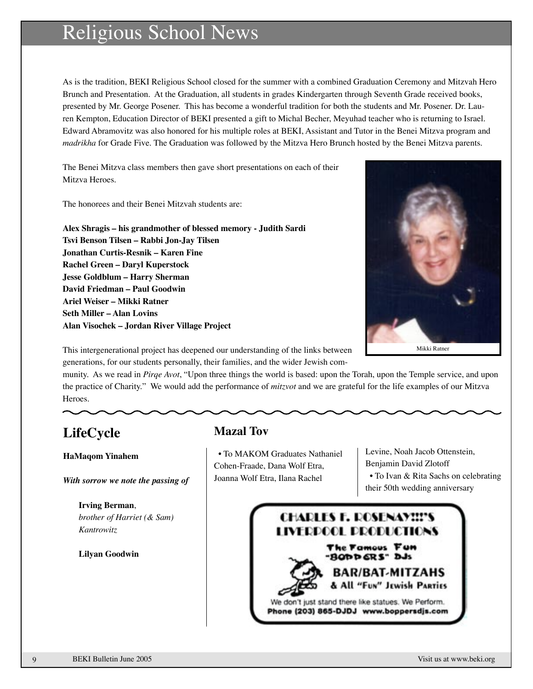## Religious School News

As is the tradition, BEKI Religious School closed for the summer with a combined Graduation Ceremony and Mitzvah Hero Brunch and Presentation. At the Graduation, all students in grades Kindergarten through Seventh Grade received books, presented by Mr. George Posener. This has become a wonderful tradition for both the students and Mr. Posener. Dr. Lauren Kempton, Education Director of BEKI presented a gift to Michal Becher, Meyuhad teacher who is returning to Israel. Edward Abramovitz was also honored for his multiple roles at BEKI, Assistant and Tutor in the Benei Mitzva program and *madrikha* for Grade Five. The Graduation was followed by the Mitzva Hero Brunch hosted by the Benei Mitzva parents.

The Benei Mitzva class members then gave short presentations on each of their Mitzva Heroes.

The honorees and their Benei Mitzvah students are:

**Alex Shragis – his grandmother of blessed memory - Judith Sardi Tsvi Benson Tilsen – Rabbi Jon-Jay Tilsen Jonathan Curtis-Resnik – Karen Fine Rachel Green – Daryl Kuperstock Jesse Goldblum – Harry Sherman David Friedman – Paul Goodwin Ariel Weiser – Mikki Ratner Seth Miller – Alan Lovins Alan Visochek – Jordan River Village Project**



This intergenerational project has deepened our understanding of the links between generations, for our students personally, their families, and the wider Jewish com-

munity. As we read in *Pirqe Avot*, "Upon three things the world is based: upon the Torah, upon the Temple service, and upon the practice of Charity." We would add the performance of *mitzvot* and we are grateful for the life examples of our Mitzva Heroes.

### **LifeCycle**

#### **HaMaqom Yinahem**

*With sorrow we note the passing of*

**Irving Berman**, *brother of Harriet (& Sam) Kantrowitz*

#### **Lilyan Goodwin**

### **Mazal Tov**

 • To MAKOM Graduates Nathaniel Cohen-Fraade, Dana Wolf Etra, Joanna Wolf Etra, Ilana Rachel

Levine, Noah Jacob Ottenstein, Benjamin David Zlotoff • To Ivan & Rita Sachs on celebrating their 50th wedding anniversary

### **CHARLES F. ROSENAYII'S** LIVERPOOL PRODUCTIONS The Famous Fun

-BODD GRS" DJs R/BAT-MITZAHS

"Fun" Jewish PARTies

We don't just stand there like statues. We Perform. Phone (203) 865-DJDJ www.boppersdjs.com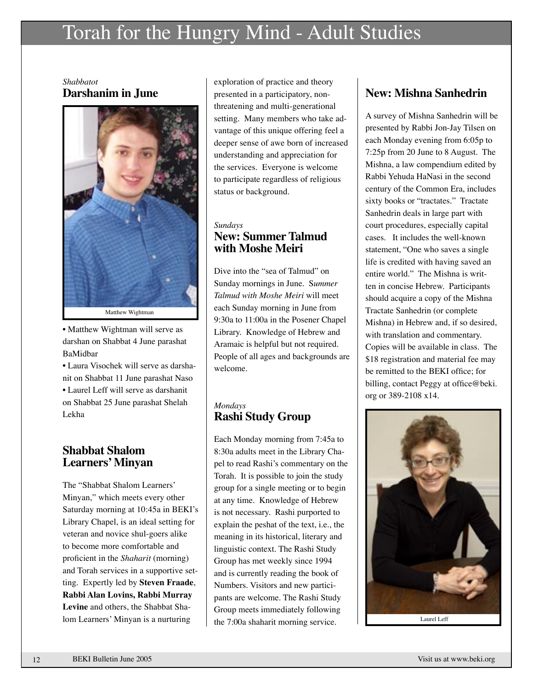## Torah for the Hungry Mind - Adult Studies

*Shabbatot* **Darshanim in June**



• Matthew Wightman will serve as darshan on Shabbat 4 June parashat BaMidbar

• Laura Visochek will serve as darshanit on Shabbat 11 June parashat Naso • Laurel Leff will serve as darshanit on Shabbat 25 June parashat Shelah Lekha

#### **Shabbat Shalom Learners' Minyan**

The "Shabbat Shalom Learners' Minyan," which meets every other Saturday morning at 10:45a in BEKI's Library Chapel, is an ideal setting for veteran and novice shul-goers alike to become more comfortable and proficient in the *Shaharit* (morning) and Torah services in a supportive setting. Expertly led by **Steven Fraade**, **Rabbi Alan Lovins, Rabbi Murray Levine** and others, the Shabbat Shalom Learners' Minyan is a nurturing

exploration of practice and theory presented in a participatory, nonthreatening and multi-generational setting. Many members who take advantage of this unique offering feel a deeper sense of awe born of increased understanding and appreciation for the services. Everyone is welcome to participate regardless of religious status or background.

#### *Sundays* **New: Summer Talmud with Moshe Meiri**

Dive into the "sea of Talmud" on Sunday mornings in June. S*ummer Talmud with Moshe Meiri* will meet each Sunday morning in June from 9:30a to 11:00a in the Posener Chapel Library. Knowledge of Hebrew and Aramaic is helpful but not required. People of all ages and backgrounds are welcome.

#### *Mondays* **Rashi Study Group**

Each Monday morning from 7:45a to 8:30a adults meet in the Library Chapel to read Rashi's commentary on the Torah. It is possible to join the study group for a single meeting or to begin at any time. Knowledge of Hebrew is not necessary. Rashi purported to explain the peshat of the text, i.e., the meaning in its historical, literary and linguistic context. The Rashi Study Group has met weekly since 1994 and is currently reading the book of Numbers. Visitors and new participants are welcome. The Rashi Study Group meets immediately following the 7:00a shaharit morning service.

### **New: Mishna Sanhedrin**

A survey of Mishna Sanhedrin will be presented by Rabbi Jon-Jay Tilsen on each Monday evening from 6:05p to 7:25p from 20 June to 8 August. The Mishna, a law compendium edited by Rabbi Yehuda HaNasi in the second century of the Common Era, includes sixty books or "tractates." Tractate Sanhedrin deals in large part with court procedures, especially capital cases. It includes the well-known statement, "One who saves a single life is credited with having saved an entire world." The Mishna is written in concise Hebrew. Participants should acquire a copy of the Mishna Tractate Sanhedrin (or complete Mishna) in Hebrew and, if so desired, with translation and commentary. Copies will be available in class. The \$18 registration and material fee may be remitted to the BEKI office; for billing, contact Peggy at office@beki. org or 389-2108 x14.



Laurel Leff

13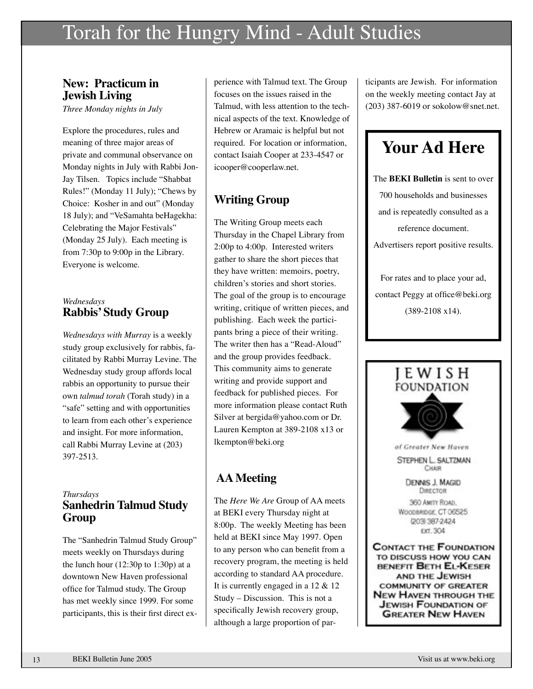## Torah for the Hungry Mind - Adult Studies

#### **New: Practicum in Jewish Living**

*Three Monday nights in July*

Explore the procedures, rules and meaning of three major areas of private and communal observance on Monday nights in July with Rabbi Jon-Jay Tilsen. Topics include "Shabbat Rules!" (Monday 11 July); "Chews by Choice: Kosher in and out" (Monday 18 July); and "VeSamahta beHagekha: Celebrating the Major Festivals" (Monday 25 July). Each meeting is from 7:30p to 9:00p in the Library. Everyone is welcome.

#### *Wednesdays* **Rabbis' Study Group**

*Wednesdays with Murray* is a weekly study group exclusively for rabbis, facilitated by Rabbi Murray Levine. The Wednesday study group affords local rabbis an opportunity to pursue their own *talmud torah* (Torah study) in a "safe" setting and with opportunities to learn from each other's experience and insight. For more information, call Rabbi Murray Levine at (203) 397-2513.

#### *Thursdays* **Sanhedrin Talmud Study Group**

The "Sanhedrin Talmud Study Group" meets weekly on Thursdays during the lunch hour (12:30p to 1:30p) at a downtown New Haven professional office for Talmud study. The Group has met weekly since 1999. For some participants, this is their first direct ex-

perience with Talmud text. The Group focuses on the issues raised in the Talmud, with less attention to the technical aspects of the text. Knowledge of Hebrew or Aramaic is helpful but not required. For location or information, contact Isaiah Cooper at 233-4547 or icooper@cooperlaw.net.

### **Writing Group**

The Writing Group meets each Thursday in the Chapel Library from 2:00p to 4:00p. Interested writers gather to share the short pieces that they have written: memoirs, poetry, children's stories and short stories. The goal of the group is to encourage writing, critique of written pieces, and publishing. Each week the participants bring a piece of their writing. The writer then has a "Read-Aloud" and the group provides feedback. This community aims to generate writing and provide support and feedback for published pieces. For more information please contact Ruth Silver at bergida@yahoo.com or Dr. Lauren Kempton at 389-2108 x13 or lkempton@beki.org

### **AA Meeting**

The *Here We Are* Group of AA meets at BEKI every Thursday night at 8:00p. The weekly Meeting has been held at BEKI since May 1997. Open to any person who can benefit from a recovery program, the meeting is held according to standard AA procedure. It is currently engaged in a 12 & 12 Study – Discussion. This is not a specifically Jewish recovery group, although a large proportion of par-

ticipants are Jewish. For information on the weekly meeting contact Jay at (203) 387-6019 or sokolow@snet.net.

## **Your Ad Here**

The **BEKI Bulletin** is sent to over 700 households and businesses and is repeatedly consulted as a reference document. Advertisers report positive results. For rates and to place your ad, contact Peggy at office@beki.org (389-2108 x14).

## I E W I S H **FOUNDATION**



STEPHEN L. SALTZMAN CHAIR

> **DENNIS J. MAGID DIRECTOR**

360 AMITY ROAD, WOODBRIDGE, CT 06525 (203) 387-2424 EXT. 304

**CONTACT THE FOUNDATION** TO DISCUSS HOW YOU CAN BENEFIT BETH EL-KESER AND THE JEWISH **COMMUNITY OF GREATER NEW HAVEN THROUGH THE JEWISH FOUNDATION OF GREATER NEW HAVEN**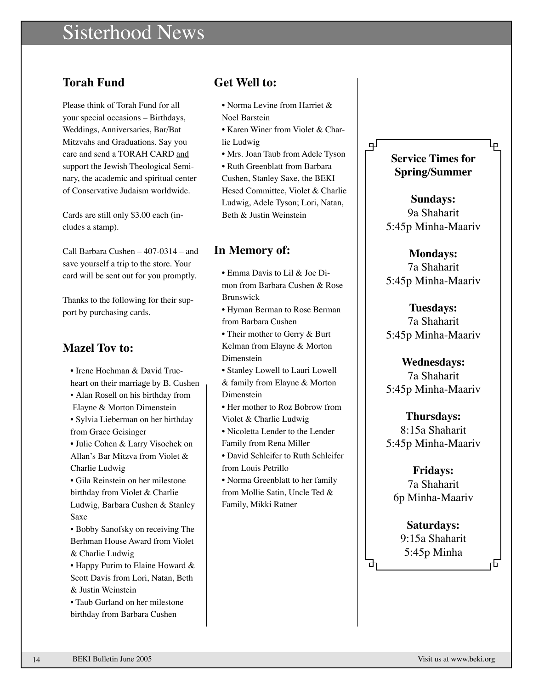## Sisterhood News

### **Torah Fund**

Please think of Torah Fund for all your special occasions – Birthdays, Weddings, Anniversaries, Bar/Bat Mitzvahs and Graduations. Say you care and send a TORAH CARD and support the Jewish Theological Seminary, the academic and spiritual center of Conservative Judaism worldwide.

Cards are still only \$3.00 each (includes a stamp).

Call Barbara Cushen – 407-0314 – and save yourself a trip to the store. Your card will be sent out for you promptly.

Thanks to the following for their support by purchasing cards.

### **Mazel Tov to:**

• Irene Hochman & David Trueheart on their marriage by B. Cushen • Alan Rosell on his birthday from Elayne & Morton Dimenstein • Sylvia Lieberman on her birthday from Grace Geisinger • Julie Cohen & Larry Visochek on Allan's Bar Mitzva from Violet & Charlie Ludwig • Gila Reinstein on her milestone birthday from Violet & Charlie Ludwig, Barbara Cushen & Stanley Saxe • Bobby Sanofsky on receiving The Berhman House Award from Violet & Charlie Ludwig • Happy Purim to Elaine Howard & Scott Davis from Lori, Natan, Beth & Justin Weinstein • Taub Gurland on her milestone

birthday from Barbara Cushen

#### **Get Well to:**

- Norma Levine from Harriet & Noel Barstein
- Karen Winer from Violet & Charlie Ludwig
- Mrs. Joan Taub from Adele Tyson

• Ruth Greenblatt from Barbara Cushen, Stanley Saxe, the BEKI Hesed Committee, Violet & Charlie Ludwig, Adele Tyson; Lori, Natan, Beth & Justin Weinstein

#### **In Memory of:**

• Emma Davis to Lil & Joe Dimon from Barbara Cushen & Rose Brunswick

• Hyman Berman to Rose Berman from Barbara Cushen

- Their mother to Gerry & Burt Kelman from Elayne & Morton Dimenstein
- Stanley Lowell to Lauri Lowell & family from Elayne & Morton Dimenstein
- Her mother to Roz Bobrow from Violet & Charlie Ludwig
- Nicoletta Lender to the Lender Family from Rena Miller
- David Schleifer to Ruth Schleifer from Louis Petrillo
- Norma Greenblatt to her family from Mollie Satin, Uncle Ted & Family, Mikki Ratner

### **Service Times for Spring/Summer**

لبا

பு

**Sundays:** 9a Shaharit 5:45p Minha-Maariv

### **Mondays:**

7a Shaharit 5:45p Minha-Maariv

**Tuesdays:** 7a Shaharit 5:45p Minha-Maariv

**Wednesdays:** 7a Shaharit 5:45p Minha-Maariv

**Thursdays:** 8:15a Shaharit 5:45p Minha-Maariv

**Fridays:** 7a Shaharit 6p Minha-Maariv

**Saturdays:** 9:15a Shaharit 5:45p Minha

क

币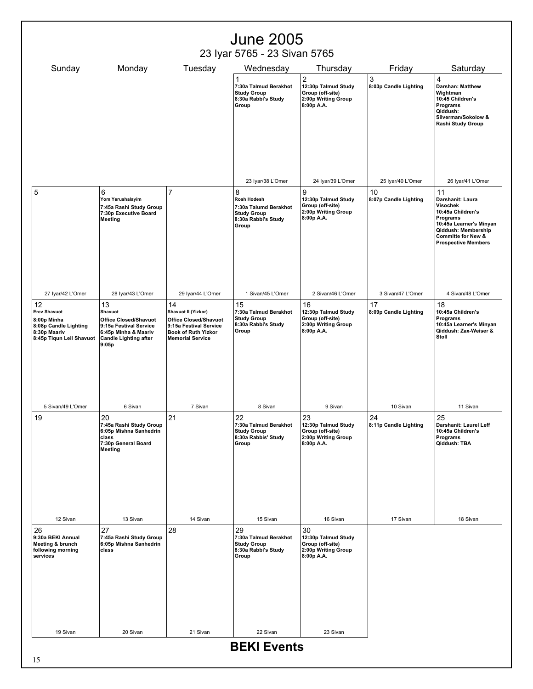| <b>June 2005</b>                                                                                              |                                                                                                                                          |                                                                                                                                              |                                                                                                 |                                                                                                            |                                      |                                                                                                                                                                                      |
|---------------------------------------------------------------------------------------------------------------|------------------------------------------------------------------------------------------------------------------------------------------|----------------------------------------------------------------------------------------------------------------------------------------------|-------------------------------------------------------------------------------------------------|------------------------------------------------------------------------------------------------------------|--------------------------------------|--------------------------------------------------------------------------------------------------------------------------------------------------------------------------------------|
|                                                                                                               |                                                                                                                                          |                                                                                                                                              | 23 Iyar 5765 - 23 Sivan 5765                                                                    |                                                                                                            |                                      |                                                                                                                                                                                      |
| Sunday                                                                                                        | Monday                                                                                                                                   | Tuesday                                                                                                                                      | Wednesday<br>1<br>7:30a Talmud Berakhot<br><b>Study Group</b><br>8:30a Rabbi's Study<br>Group   | Thursday<br>$\overline{2}$<br>12:30p Talmud Study<br>Group (off-site)<br>2:00p Writing Group<br>8:00p A.A. | Friday<br>3<br>8:03p Candle Lighting | Saturday<br>$\overline{4}$<br><b>Darshan: Matthew</b><br>Wightman<br>10:45 Children's<br>Programs<br>Qiddush:<br>Silverman/Sokolow &<br>Rashi Study Group                            |
|                                                                                                               |                                                                                                                                          |                                                                                                                                              | 23 Iyar/38 L'Omer                                                                               | 24 Iyar/39 L'Omer                                                                                          | 25 Iyar/40 L'Omer                    | 26 Iyar/41 L'Omer                                                                                                                                                                    |
| 5                                                                                                             | 6<br>Yom Yerushalayim<br>7:45a Rashi Study Group<br>7:30p Executive Board<br><b>Meeting</b>                                              | 7                                                                                                                                            | 8<br>Rosh Hodesh<br>7:30a Talumd Berakhot<br><b>Study Group</b><br>8:30a Rabbi's Study<br>Group | 9<br>12:30p Talmud Study<br>Group (off-site)<br>2:00p Writing Group<br>8:00p A.A.                          | 10<br>8:07p Candle Lighting          | 11<br>Darshanit: Laura<br>Visochek<br>10:45a Children's<br>Programs<br>10:45a Learner's Minyan<br>Qiddush: Membership<br><b>Committe for New &amp;</b><br><b>Prospective Members</b> |
| 27 Iyar/42 L'Omer                                                                                             | 28 Iyar/43 L'Omer                                                                                                                        | 29 Iyar/44 L'Omer                                                                                                                            | 1 Sivan/45 L'Omer                                                                               | 2 Sivan/46 L'Omer                                                                                          | 3 Sivan/47 L'Omer                    | 4 Sivan/48 L'Omer                                                                                                                                                                    |
| 12<br><b>Erev Shavuot</b><br>8:00p Minha<br>8:08p Candle Lighting<br>8:30p Maariv<br>8:45p Tiqun Leil Shavuot | 13<br>Shavuot<br><b>Office Closed/Shavuot</b><br>9:15a Festival Service<br>6:45p Minha & Maariv<br><b>Candle Lighting after</b><br>9:05p | 14<br>Shavuot II (Yizkor)<br><b>Office Closed/Shavuot</b><br>9:15a Festival Service<br><b>Book of Ruth Yizkor</b><br><b>Memorial Service</b> | 15<br>7:30a Talmud Berakhot<br><b>Study Group</b><br>8:30a Rabbi's Study<br>Group               | 16<br>12:30p Talmud Study<br>Group (off-site)<br>2:00p Writing Group<br>8:00p A.A.                         | 17<br>8:09p Candle Lighting          | 18<br>10:45a Children's<br>Programs<br>10:45a Learner's Minyan<br>Qiddush: Zax-Weiser &<br>Stoll                                                                                     |
| 5 Sivan/49 L'Omer                                                                                             | 6 Sivan                                                                                                                                  | 7 Sivan                                                                                                                                      | 8 Sivan                                                                                         | 9 Sivan                                                                                                    | 10 Sivan                             | 11 Sivan                                                                                                                                                                             |
| 19                                                                                                            | 20<br>7:45a Rashi Study Group<br>6:05p Mishna Sanhedrin<br>class<br>7:30p General Board<br>Meeting                                       | 21                                                                                                                                           | 22<br>7:30a Talmud Berakhot<br><b>Study Group</b><br>8:30a Rabbis' Study<br>Group               | 23<br>12:30p Talmud Study<br>Group (off-site)<br>2:00p Writing Group<br>8:00p A.A.                         | 24<br>8:11p Candle Lighting          | 25<br>Darshanit: Laurel Leff<br>10:45a Children's<br>Programs<br>Qiddush: TBA                                                                                                        |
| 12 Sivan                                                                                                      | 13 Sivan                                                                                                                                 | 14 Sivan                                                                                                                                     | 15 Sivan                                                                                        | 16 Sivan                                                                                                   | 17 Sivan                             | 18 Sivan                                                                                                                                                                             |
| 26<br>9:30a BEKI Annual<br>Meeting & brunch<br>following morning<br>services                                  | 27<br>7:45a Rashi Study Group<br>6:05p Mishna Sanhedrin<br>class                                                                         | 28                                                                                                                                           | 29<br>7:30a Talmud Berakhot<br><b>Study Group</b><br>8:30a Rabbi's Study<br>Group               | 30<br>12:30p Talmud Study<br>Group (off-site)<br>2:00p Writing Group<br>8:00p A.A.                         |                                      |                                                                                                                                                                                      |
| 19 Sivan                                                                                                      | 20 Sivan                                                                                                                                 | 21 Sivan                                                                                                                                     | 22 Sivan                                                                                        | 23 Sivan                                                                                                   |                                      |                                                                                                                                                                                      |
| <b>BEKI Events</b>                                                                                            |                                                                                                                                          |                                                                                                                                              |                                                                                                 |                                                                                                            |                                      |                                                                                                                                                                                      |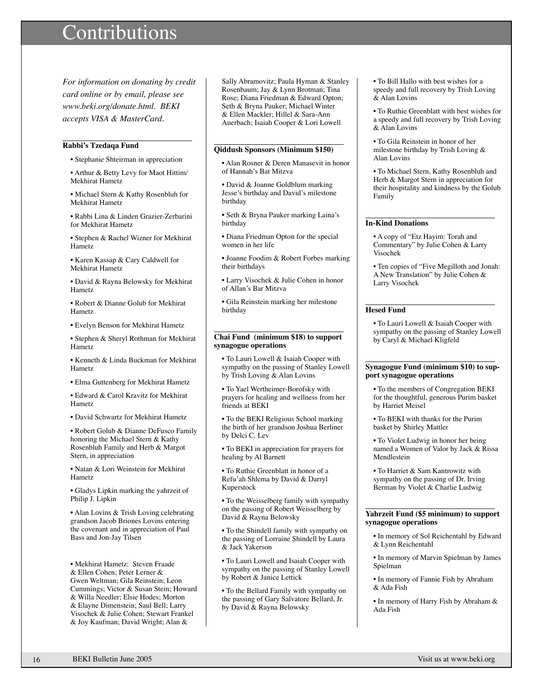## ontributions

*For information on donating by credit card online or by email, please see www.beki.org/donate.html. BEKI accepts VISA & MasterCard.*

#### **Rabbi's Tzedaqa Fund**

• Stephanie Shteirman in appreciation

• Arthur & Betty Levy for Maot Hittim/ Mekhirat Hametz

• Michael Stern & Kathy Rosenbluh for Mekhirat Hametz

• Rabbi Lina & Linden Grazier-Zerbarini for Mekhirat Hametz

• Stephen & Rachel Wizner for Mekhirat Hametz

• Karen Kassap & Cary Caldwell for Mekhirat Hametz

• David & Rayna Belowsky for Mekhirat Hametz

• Robert & Dianne Golub for Mekhirat Hametz

• Evelyn Benson for Mekhirat Hametz

• Stephen & Sheryl Rothman for Mekhirat Hametz

• Kenneth & Linda Buckman for Mekhirat Hametz

• Elma Guttenberg for Mekhirat Hametz

• Edward & Carol Kravitz for Mekhirat Hametz

• David Schwartz for Mekhirat Hametz

• Robert Golub & Dianne DeFusco Family honoring the Michael Stern & Kathy Rosenbluh Family and Herb & Margot Stern, in appreciation

• Natan & Lori Weinstein for Mekhirat Hametz

• Gladys Lipkin marking the yahrzeit of Philip J. Lipkin

• Alan Lovins & Trish Loving celebrating grandson Jacob Briones Lovins entering the covenant and in appreciation of Paul Bass and Jon-Jay Tilsen

• Mekhirat Hametz: Steven Fraade & Ellen Cohen; Peter Lerner & Gwen Weltman; Gila Reinstein; Leon Cummings; Victor & Susan Stein; Howard & Willa Needler; Elsie Hodes; Morton & Elayne Dimenstein; Saul Bell; Larry Visochek & Julie Cohen; Stewart Frankel & Joy Kaufman; David Wright; Alan &

Sally Abramovitz; Paula Hyman & Stanley Rosenbaum; Jay & Lynn Brotman; Tina Rose; Diana Friedman & Edward Opton; Seth & Bryna Pauker; Michael Winter & Ellen Mackler; Hillel & Sara-Ann Auerbach; Isaiah Cooper & Lori Lowell

#### **Qiddush Sponsors (Minimum \$150)**

• Alan Rosner & Deren Manasevit in honor of Hannah's Bat Mitzva

• David & Joanne Goldblum marking Jesse's birthday and David's milestone birthday

• Seth & Bryna Pauker marking Laina's birthday

• Diana Friedman Opton for the special women in her life

• Joanne Foodim & Robert Forbes marking their birthdays

• Larry Visochek & Julie Cohen in honor of Allan's Bar Mitzva

• Gila Reinstein marking her milestone birthday

#### **Chai Fund (minimum \$18) to support synagogue operations**

• To Lauri Lowell & Isaiah Cooper with sympathy on the passing of Stanley Lowell by Trish Loving & Alan Lovins

• To Yael Wertheimer-Borofsky with prayers for healing and wellness from her friends at BEKI

• To the BEKI Religious School marking the birth of her grandson Joshua Berliner by Delci C. Lev

• To BEKI in appreciation for prayers for healing by Al Barnett

• To Ruthie Greenblatt in honor of a Refu'ah Shlema by David & Darryl Kuperstock

• To the Weisselberg family with sympathy on the passing of Robert Weisselberg by David & Rayna Belowsky

• To the Shindell family with sympathy on the passing of Lorraine Shindell by Laura & Jack Yakerson

• To Lauri Lowell and Isaiah Cooper with sympathy on the passing of Stanley Lowell by Robert & Janice Lettick

• To the Bellard Family with sympathy on the passing of Gary Salvatore Bellard, Jr. by David & Rayna Belowsky

• To Bill Hallo with best wishes for a speedy and full recovery by Trish Loving & Alan Lovins

• To Ruthie Greenblatt with best wishes for a speedy and full recovery by Trish Loving & Alan Lovins

• To Gila Reinstein in honor of her milestone birthday by Trish Loving & Alan Lovins

• To Michael Stern, Kathy Rosenbluh and Herb & Margot Stern in appreciation for their hospitality and kindness by the Golub Family

#### **In-Kind Donations**

• A copy of "Etz Hayim: Torah and Commentary" by Julie Cohen & Larry Visochek

• Ten copies of "Five Megilloth and Jonah: A New Translation" by Julie Cohen & Larry Visochek

#### **Hesed Fund**

• To Lauri Lowell & Isaiah Cooper with sympathy on the passing of Stanley Lowell by Caryl & Michael Kligfeld

#### **Synagogue Fund (minimum \$10) to support synagogue operations**

• To the members of Congregation BEKI for the thoughtful, generous Purim basket by Harriet Meisel

• To BEKI with thanks for the Purim basket by Shirley Mattler

• To Violet Ludwig in honor her being named a Women of Valor by Jack & Rissa Mendlestein

• To Harriet & Sam Kantrowitz with sympathy on the passing of Dr. Irving Berman by Violet & Charlie Ludwig

#### **Yahrzeit Fund (\$5 minimum) to support synagogue operations**

• In memory of Sol Reichentahl by Edward & Lynn Reichentahl

• In memory of Marvin Spielman by James Spielman

• In memory of Fannie Fish by Abraham & Ada Fish

• In memory of Harry Fish by Abraham & Ada Fish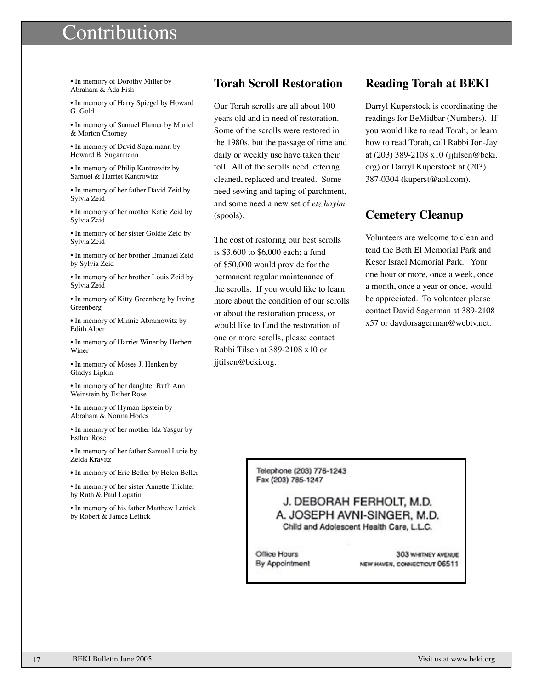## ontributions

• In memory of Dorothy Miller by Abraham & Ada Fish

• In memory of Harry Spiegel by Howard G. Gold

• In memory of Samuel Flamer by Muriel & Morton Chorney

• In memory of David Sugarmann by Howard B. Sugarmann

• In memory of Philip Kantrowitz by Samuel & Harriet Kantrowitz

• In memory of her father David Zeid by Sylvia Zeid

• In memory of her mother Katie Zeid by Sylvia Zeid

• In memory of her sister Goldie Zeid by Sylvia Zeid

• In memory of her brother Emanuel Zeid by Sylvia Zeid

• In memory of her brother Louis Zeid by Sylvia Zeid

• In memory of Kitty Greenberg by Irving Greenberg

• In memory of Minnie Abramowitz by Edith Alper

• In memory of Harriet Winer by Herbert Winer

• In memory of Moses J. Henken by Gladys Lipkin

• In memory of her daughter Ruth Ann Weinstein by Esther Rose

• In memory of Hyman Epstein by Abraham & Norma Hodes

• In memory of her mother Ida Yasgur by Esther Rose

• In memory of her father Samuel Lurie by Zelda Kravitz

• In memory of Eric Beller by Helen Beller

• In memory of her sister Annette Trichter by Ruth & Paul Lopatin

• In memory of his father Matthew Lettick by Robert & Janice Lettick

#### **Torah Scroll Restoration**

Our Torah scrolls are all about 100 years old and in need of restoration. Some of the scrolls were restored in the 1980s, but the passage of time and daily or weekly use have taken their toll. All of the scrolls need lettering cleaned, replaced and treated. Some need sewing and taping of parchment, and some need a new set of *etz hayim* (spools).

The cost of restoring our best scrolls is \$3,600 to \$6,000 each; a fund of \$50,000 would provide for the permanent regular maintenance of the scrolls. If you would like to learn more about the condition of our scrolls or about the restoration process, or would like to fund the restoration of one or more scrolls, please contact Rabbi Tilsen at 389-2108 x10 or jjtilsen@beki.org.

### **Reading Torah at BEKI**

Darryl Kuperstock is coordinating the readings for BeMidbar (Numbers). If you would like to read Torah, or learn how to read Torah, call Rabbi Jon-Jay at (203) 389-2108 x10 (jjtilsen@beki. org) or Darryl Kuperstock at (203) 387-0304 (kuperst@aol.com).

### **Cemetery Cleanup**

Volunteers are welcome to clean and tend the Beth El Memorial Park and Keser Israel Memorial Park. Your one hour or more, once a week, once a month, once a year or once, would be appreciated. To volunteer please contact David Sagerman at 389-2108 x57 or davdorsagerman@webtv.net.

Telephone (203) 776-1243 Fax (203) 785-1247

#### J. DEBORAH FERHOLT, M.D. A. JOSEPH AVNI-SINGER, M.D. Child and Adolescent Health Care, L.L.C.

Office Hours By Appointment

303 WHITNEY AVENUE NEW HAVEN, CONNECTICUT 06511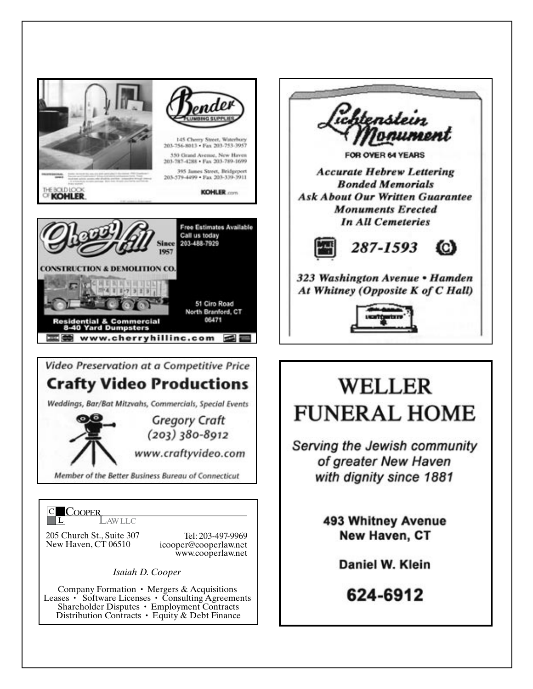

Company Formation  $\cdot$  Mergers & Acquisitions Leases • Software Licenses • Consulting Agreements Shareholder Disputes • Employment Contracts Distribution Contracts • Equity & Debt Finance



## **WELLER FUNERAL HOME**

Serving the Jewish community of greater New Haven with dignity since 1881

> **493 Whitney Avenue New Haven, CT**

> > Daniel W. Klein

624-6912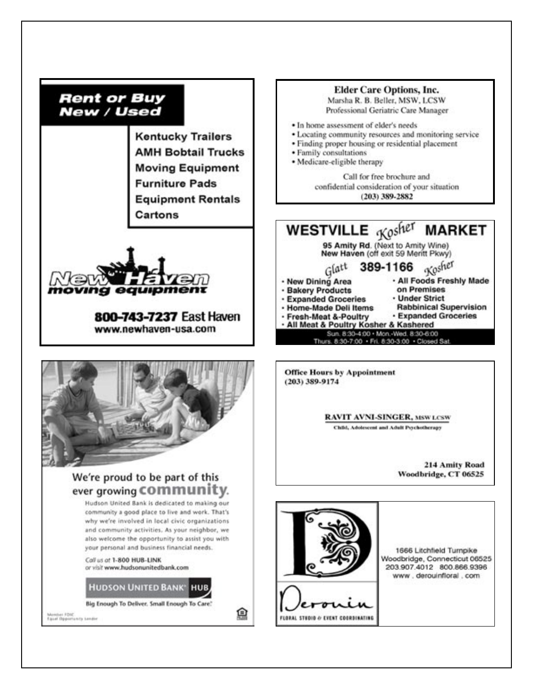